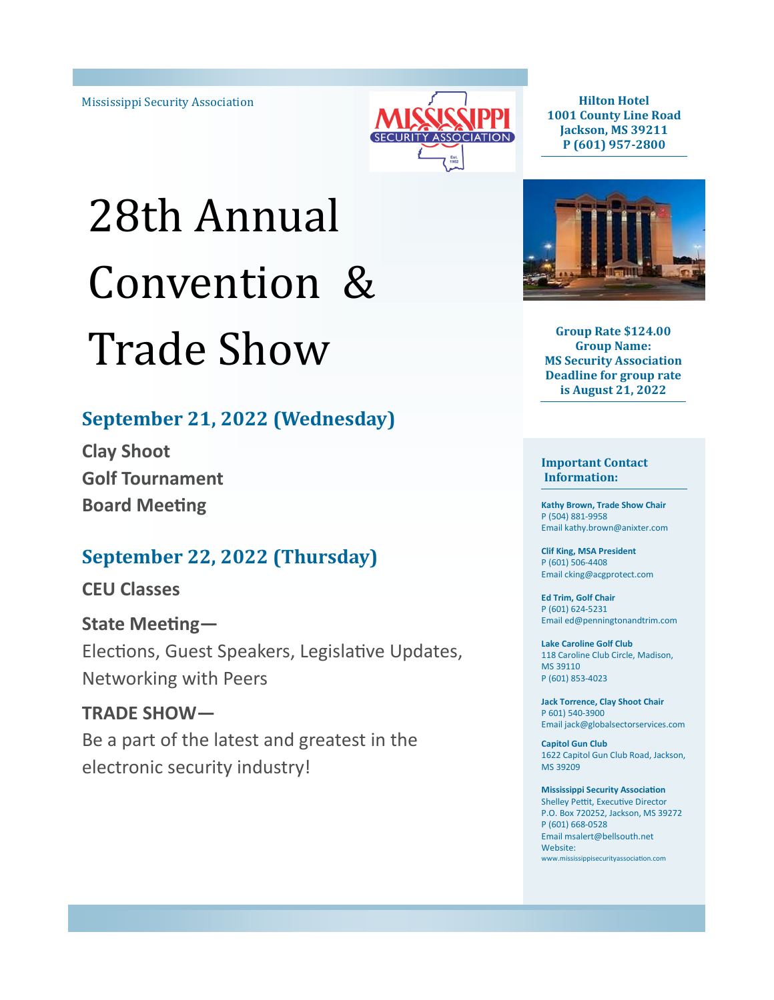

**Hilton Hotel 1001 County Line Road Jackson, MS 39211 P (601) 957-2800**

# 28th Annual Convention & Trade Show

## **September 21, 2022 (Wednesday)**

**Clay Shoot Golf Tournament Board Meeting**

## **September 22, 2022 (Thursday)**

### **CEU Classes**

**State Meeting—** Elections, Guest Speakers, Legislative Updates, Networking with Peers

**TRADE SHOW—** Be a part of the latest and greatest in the electronic security industry!



**Group Rate \$124.00 Group Name: MS Security Association Deadline for group rate is August 21, 2022**

**Important Contact Information:**

**Kathy Brown, Trade Show Chair** P (504) 881-9958 Email kathy.brown@anixter.com

**Clif King, MSA President** P (601) 506-4408 Email cking@acgprotect.com

**Ed Trim, Golf Chair** P (601) 624-5231 Email ed@penningtonandtrim.com

**Lake Caroline Golf Club** 118 Caroline Club Circle, Madison, MS 39110 P (601) 853-4023

**Jack Torrence, Clay Shoot Chair** P 601) 540-3900 Email jack@globalsectorservices.com

**Capitol Gun Club** 1622 Capitol Gun Club Road, Jackson, MS 39209

#### **Mississippi Security Association**

Shelley Pettit, Executive Director P.O. Box 720252, Jackson, MS 39272 P (601) 668-0528 Email msalert@bellsouth.net Website: www.mississippisecurityassociation.com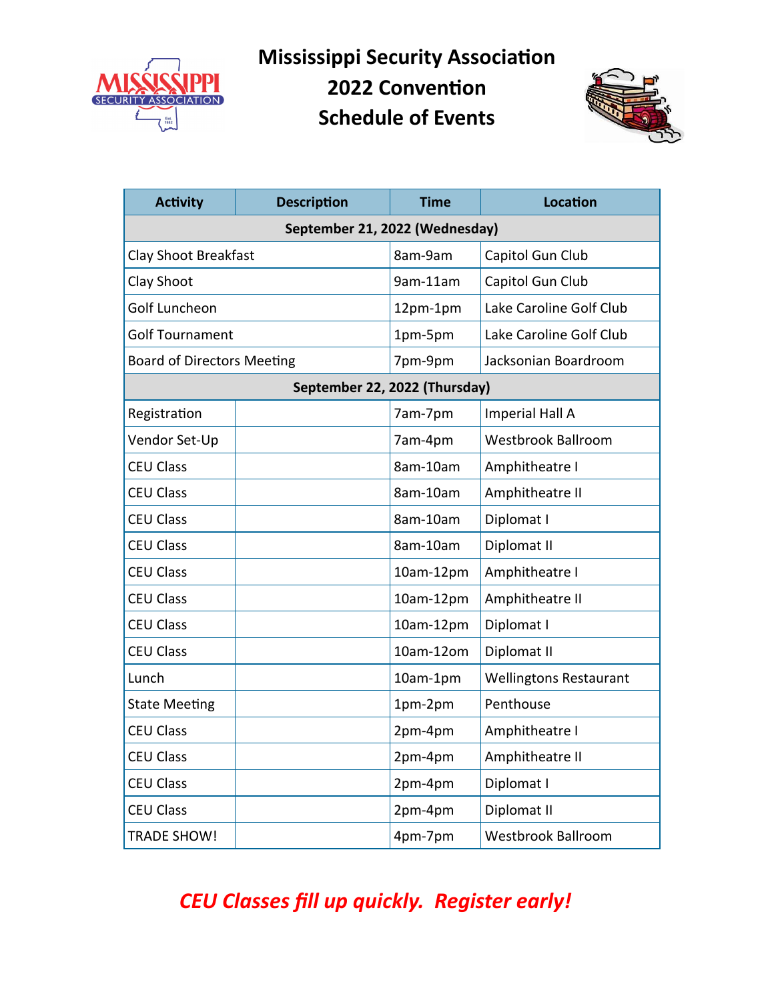

**Mississippi Security Association 2022 Convention**

**Schedule of Events**



| <b>Activity</b><br><b>Description</b><br><b>Time</b> |                               |           | <b>Location</b>               |  |  |  |
|------------------------------------------------------|-------------------------------|-----------|-------------------------------|--|--|--|
| September 21, 2022 (Wednesday)                       |                               |           |                               |  |  |  |
| Clay Shoot Breakfast                                 |                               | 8am-9am   | Capitol Gun Club              |  |  |  |
| Clay Shoot                                           |                               | 9am-11am  | Capitol Gun Club              |  |  |  |
| Golf Luncheon                                        |                               | 12pm-1pm  | Lake Caroline Golf Club       |  |  |  |
| <b>Golf Tournament</b>                               |                               | 1pm-5pm   | Lake Caroline Golf Club       |  |  |  |
| <b>Board of Directors Meeting</b>                    |                               | 7pm-9pm   | Jacksonian Boardroom          |  |  |  |
|                                                      | September 22, 2022 (Thursday) |           |                               |  |  |  |
| Registration                                         |                               | 7am-7pm   | <b>Imperial Hall A</b>        |  |  |  |
| Vendor Set-Up                                        |                               | 7am-4pm   | Westbrook Ballroom            |  |  |  |
| <b>CEU Class</b>                                     |                               | 8am-10am  | Amphitheatre I                |  |  |  |
| <b>CEU Class</b>                                     |                               | 8am-10am  | Amphitheatre II               |  |  |  |
| <b>CEU Class</b>                                     |                               | 8am-10am  | Diplomat I                    |  |  |  |
| <b>CEU Class</b>                                     |                               | 8am-10am  | Diplomat II                   |  |  |  |
| <b>CEU Class</b>                                     |                               | 10am-12pm | Amphitheatre I                |  |  |  |
| <b>CEU Class</b>                                     |                               | 10am-12pm | Amphitheatre II               |  |  |  |
| <b>CEU Class</b>                                     |                               | 10am-12pm | Diplomat I                    |  |  |  |
| <b>CEU Class</b>                                     |                               | 10am-12om | Diplomat II                   |  |  |  |
| Lunch                                                |                               | 10am-1pm  | <b>Wellingtons Restaurant</b> |  |  |  |
| <b>State Meeting</b>                                 |                               | 1pm-2pm   | Penthouse                     |  |  |  |
| <b>CEU Class</b>                                     |                               | 2pm-4pm   | Amphitheatre I                |  |  |  |
| <b>CEU Class</b>                                     |                               | 2pm-4pm   | Amphitheatre II               |  |  |  |
| <b>CEU Class</b>                                     |                               | 2pm-4pm   | Diplomat I                    |  |  |  |
| <b>CEU Class</b>                                     |                               | 2pm-4pm   | Diplomat II                   |  |  |  |
| <b>TRADE SHOW!</b>                                   |                               | 4pm-7pm   | <b>Westbrook Ballroom</b>     |  |  |  |

# *CEU Classes fill up quickly. Register early!*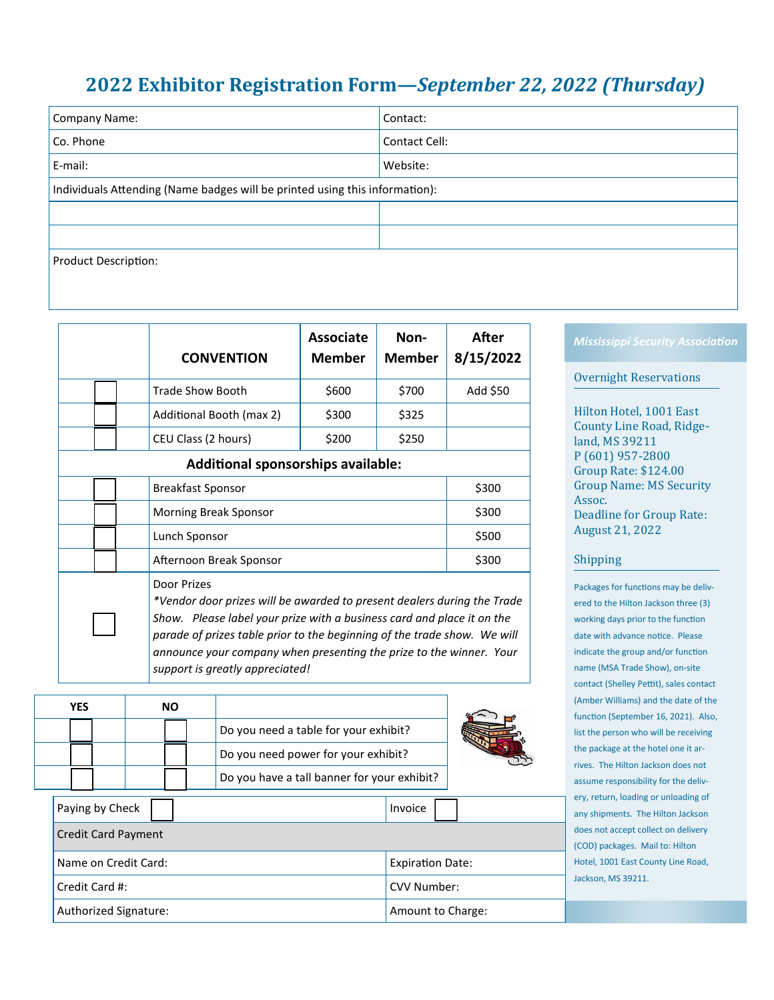## **2022 Exhibitor Registration Form—***September 22, 2022 (Thursday)*

| Company Name:                                                               | Contact:      |  |  |  |  |
|-----------------------------------------------------------------------------|---------------|--|--|--|--|
| Co. Phone                                                                   | Contact Cell: |  |  |  |  |
| E-mail:                                                                     | Website:      |  |  |  |  |
| Individuals Attending (Name badges will be printed using this information): |               |  |  |  |  |
|                                                                             |               |  |  |  |  |
|                                                                             |               |  |  |  |  |
| Product Description:                                                        |               |  |  |  |  |

|  |  | <b>CONVENTION</b>        | <b>Associate</b><br><b>Member</b> | Non-<br><b>Member</b> | After<br>8/15/2022 |
|--|--|--------------------------|-----------------------------------|-----------------------|--------------------|
|  |  | <b>Trade Show Booth</b>  | \$600                             | \$700                 | Add \$50           |
|  |  | Additional Booth (max 2) | \$300                             | \$325                 |                    |
|  |  | CEU Class (2 hours)      | \$200                             | \$250                 |                    |

**Additional sponsorships available:**

|  |  |  | <b>Breakfast Sponsor</b> | \$300 |  |  |
|--|--|--|--------------------------|-------|--|--|
|  |  |  | Morning Break Sponsor    | \$300 |  |  |
|  |  |  | Lunch Sponsor            | \$500 |  |  |
|  |  |  | Afternoon Break Sponsor  | \$300 |  |  |
|  |  |  | Door Prizes              |       |  |  |

*\*Vendor door prizes will be awarded to present dealers during the Trade Show. Please label your prize with a business card and place it on the parade of prizes table prior to the beginning of the trade show. We will announce your company when presenting the prize to the winner. Your support is greatly appreciated!*

| YES             | <b>NO</b> |                                             |  |
|-----------------|-----------|---------------------------------------------|--|
|                 |           | Do you need a table for your exhibit?       |  |
|                 |           | Do you need power for your exhibit?         |  |
|                 |           | Do you have a tall banner for your exhibit? |  |
| Daving by Chael |           | 1.1.1.0.00                                  |  |

| Paying by Check            | Invoice                 |  |  |
|----------------------------|-------------------------|--|--|
| <b>Credit Card Payment</b> |                         |  |  |
| Name on Credit Card:       | <b>Expiration Date:</b> |  |  |
| Credit Card #:             | CVV Number:             |  |  |
| Authorized Signature:      | Amount to Charge:       |  |  |

#### *Mississippi Security Association*

#### Overnight Reservations

Hilton Hotel, 1001 East County Line Road, Ridgeland, MS 39211 P (601) 957-2800 Group Rate: \$124.00 Group Name: MS Security Assoc. Deadline for Group Rate: August 21, 2022

#### Shipping

Packages for functions may be delivered to the Hilton Jackson three (3) working days prior to the function date with advance notice. Please indicate the group and/or function name (MSA Trade Show), on-site contact (Shelley Pettit), sales contact (Amber Williams) and the date of the function (September 16, 2021). Also, list the person who will be receiving the package at the hotel one it arrives. The Hilton Jackson does not assume responsibility for the delivery, return, loading or unloading of any shipments. The Hilton Jackson does not accept collect on delivery (COD) packages. Mail to: Hilton Hotel, 1001 East County Line Road, Jackson, MS 39211.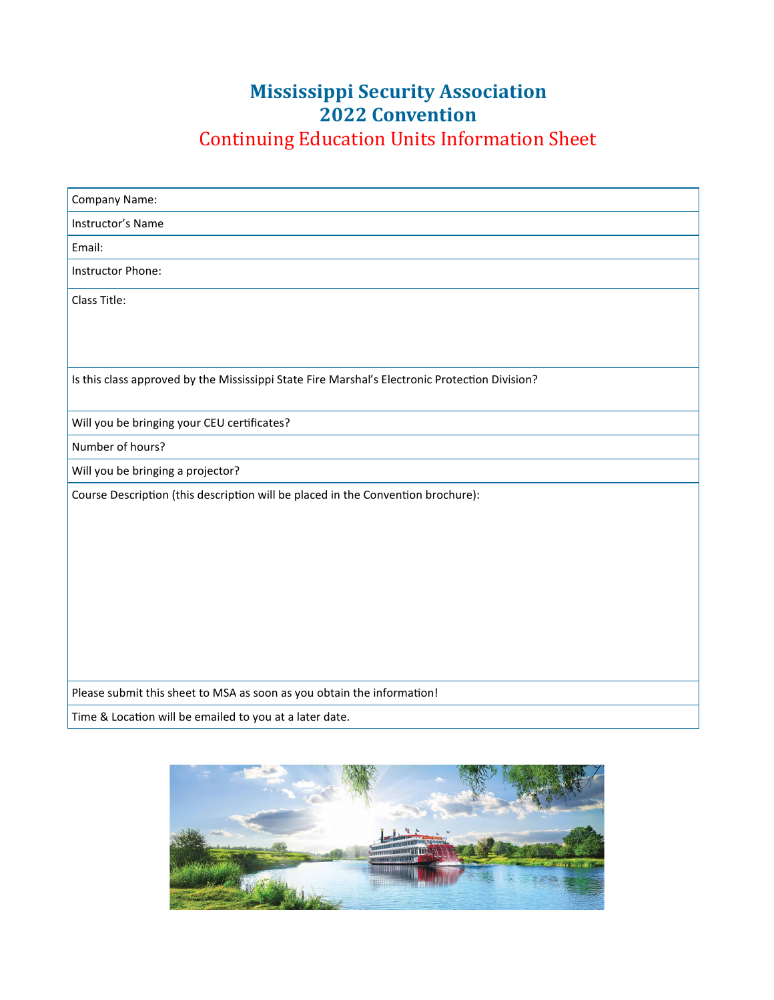## **Mississippi Security Association 2022 Convention** Continuing Education Units Information Sheet

| Company Name:                                                                                  |
|------------------------------------------------------------------------------------------------|
| Instructor's Name                                                                              |
| Email:                                                                                         |
| Instructor Phone:                                                                              |
| Class Title:                                                                                   |
|                                                                                                |
|                                                                                                |
| Is this class approved by the Mississippi State Fire Marshal's Electronic Protection Division? |
| Will you be bringing your CEU certificates?                                                    |
| Number of hours?                                                                               |
| Will you be bringing a projector?                                                              |
| Course Description (this description will be placed in the Convention brochure):               |
|                                                                                                |
|                                                                                                |
|                                                                                                |
|                                                                                                |
|                                                                                                |
|                                                                                                |
|                                                                                                |
|                                                                                                |
|                                                                                                |
| Please submit this sheet to MSA as soon as you obtain the information!                         |